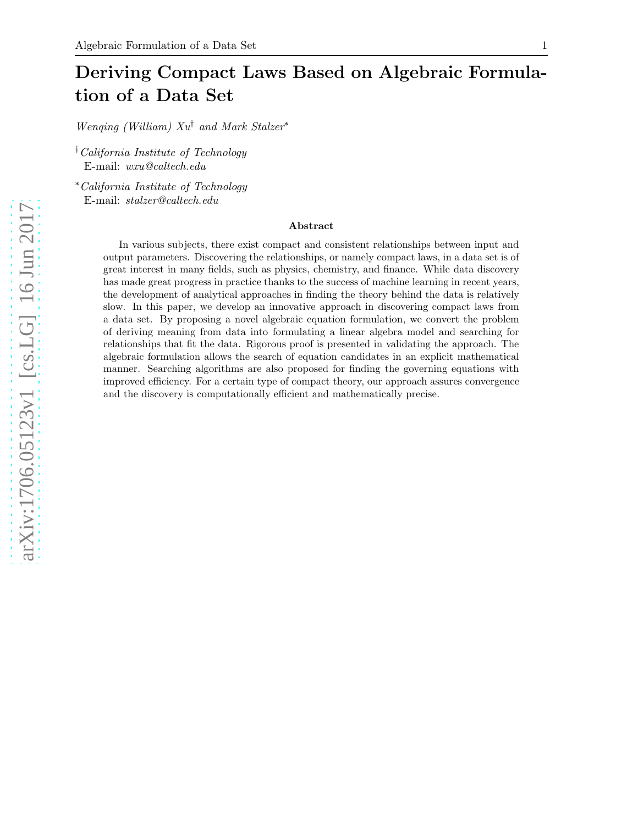# Deriving Compact Laws Based on Algebraic Formulation of a Data Set

*Wenqing (William) Xu*† *and Mark Stalzer*∗

†*California Institute of Technology* E-mail: *wxu@caltech.edu*

∗*California Institute of Technology* E-mail: *stalzer@caltech.edu*

#### Abstract

In various subjects, there exist compact and consistent relationships between input and output parameters. Discovering the relationships, or namely compact laws, in a data set is of great interest in many fields, such as physics, chemistry, and finance. While data discovery has made great progress in practice thanks to the success of machine learning in recent years, the development of analytical approaches in finding the theory behind the data is relatively slow. In this paper, we develop an innovative approach in discovering compact laws from a data set. By proposing a novel algebraic equation formulation, we convert the problem of deriving meaning from data into formulating a linear algebra model and searching for relationships that fit the data. Rigorous proof is presented in validating the approach. The algebraic formulation allows the search of equation candidates in an explicit mathematical manner. Searching algorithms are also proposed for finding the governing equations with improved efficiency. For a certain type of compact theory, our approach assures convergence and the discovery is computationally efficient and mathematically precise.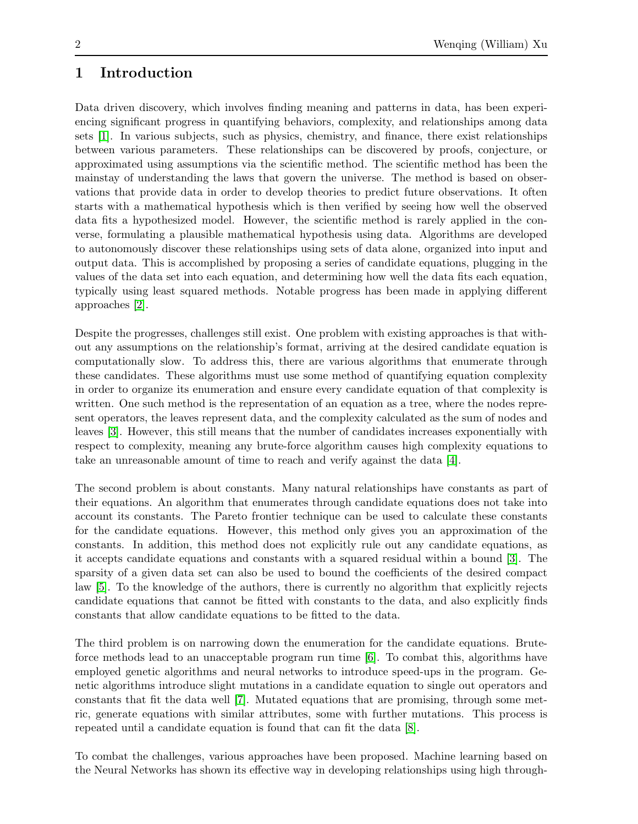# 1 Introduction

Data driven discovery, which involves finding meaning and patterns in data, has been experiencing significant progress in quantifying behaviors, complexity, and relationships among data sets [\[1\]](#page-13-0). In various subjects, such as physics, chemistry, and finance, there exist relationships between various parameters. These relationships can be discovered by proofs, conjecture, or approximated using assumptions via the scientific method. The scientific method has been the mainstay of understanding the laws that govern the universe. The method is based on observations that provide data in order to develop theories to predict future observations. It often starts with a mathematical hypothesis which is then verified by seeing how well the observed data fits a hypothesized model. However, the scientific method is rarely applied in the converse, formulating a plausible mathematical hypothesis using data. Algorithms are developed to autonomously discover these relationships using sets of data alone, organized into input and output data. This is accomplished by proposing a series of candidate equations, plugging in the values of the data set into each equation, and determining how well the data fits each equation, typically using least squared methods. Notable progress has been made in applying different approaches [\[2\]](#page-13-1).

Despite the progresses, challenges still exist. One problem with existing approaches is that without any assumptions on the relationship's format, arriving at the desired candidate equation is computationally slow. To address this, there are various algorithms that enumerate through these candidates. These algorithms must use some method of quantifying equation complexity in order to organize its enumeration and ensure every candidate equation of that complexity is written. One such method is the representation of an equation as a tree, where the nodes represent operators, the leaves represent data, and the complexity calculated as the sum of nodes and leaves [\[3\]](#page-13-2). However, this still means that the number of candidates increases exponentially with respect to complexity, meaning any brute-force algorithm causes high complexity equations to take an unreasonable amount of time to reach and verify against the data [\[4\]](#page-13-3).

The second problem is about constants. Many natural relationships have constants as part of their equations. An algorithm that enumerates through candidate equations does not take into account its constants. The Pareto frontier technique can be used to calculate these constants for the candidate equations. However, this method only gives you an approximation of the constants. In addition, this method does not explicitly rule out any candidate equations, as it accepts candidate equations and constants with a squared residual within a bound [\[3\]](#page-13-2). The sparsity of a given data set can also be used to bound the coefficients of the desired compact law [\[5\]](#page-14-0). To the knowledge of the authors, there is currently no algorithm that explicitly rejects candidate equations that cannot be fitted with constants to the data, and also explicitly finds constants that allow candidate equations to be fitted to the data.

The third problem is on narrowing down the enumeration for the candidate equations. Bruteforce methods lead to an unacceptable program run time [\[6\]](#page-14-1). To combat this, algorithms have employed genetic algorithms and neural networks to introduce speed-ups in the program. Genetic algorithms introduce slight mutations in a candidate equation to single out operators and constants that fit the data well [\[7\]](#page-14-2). Mutated equations that are promising, through some metric, generate equations with similar attributes, some with further mutations. This process is repeated until a candidate equation is found that can fit the data [\[8\]](#page-14-3).

To combat the challenges, various approaches have been proposed. Machine learning based on the Neural Networks has shown its effective way in developing relationships using high through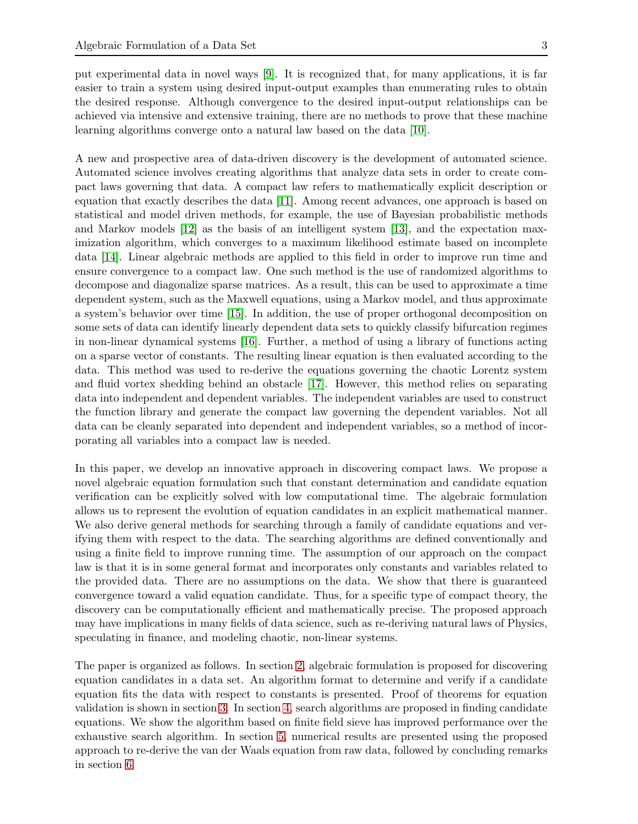put experimental data in novel ways [\[9\]](#page-14-4). It is recognized that, for many applications, it is far easier to train a system using desired input-output examples than enumerating rules to obtain the desired response. Although convergence to the desired input-output relationships can be achieved via intensive and extensive training, there are no methods to prove that these machine learning algorithms converge onto a natural law based on the data [\[10\]](#page-14-5).

A new and prospective area of data-driven discovery is the development of automated science. Automated science involves creating algorithms that analyze data sets in order to create compact laws governing that data. A compact law refers to mathematically explicit description or equation that exactly describes the data [\[11\]](#page-14-6). Among recent advances, one approach is based on statistical and model driven methods, for example, the use of Bayesian probabilistic methods and Markov models [\[12\]](#page-14-7) as the basis of an intelligent system [\[13\]](#page-14-8), and the expectation maximization algorithm, which converges to a maximum likelihood estimate based on incomplete data [\[14\]](#page-14-9). Linear algebraic methods are applied to this field in order to improve run time and ensure convergence to a compact law. One such method is the use of randomized algorithms to decompose and diagonalize sparse matrices. As a result, this can be used to approximate a time dependent system, such as the Maxwell equations, using a Markov model, and thus approximate a system's behavior over time [\[15\]](#page-14-10). In addition, the use of proper orthogonal decomposition on some sets of data can identify linearly dependent data sets to quickly classify bifurcation regimes in non-linear dynamical systems [\[16\]](#page-14-11). Further, a method of using a library of functions acting on a sparse vector of constants. The resulting linear equation is then evaluated according to the data. This method was used to re-derive the equations governing the chaotic Lorentz system and fluid vortex shedding behind an obstacle [\[17\]](#page-14-12). However, this method relies on separating data into independent and dependent variables. The independent variables are used to construct the function library and generate the compact law governing the dependent variables. Not all data can be cleanly separated into dependent and independent variables, so a method of incorporating all variables into a compact law is needed.

In this paper, we develop an innovative approach in discovering compact laws. We propose a novel algebraic equation formulation such that constant determination and candidate equation verification can be explicitly solved with low computational time. The algebraic formulation allows us to represent the evolution of equation candidates in an explicit mathematical manner. We also derive general methods for searching through a family of candidate equations and verifying them with respect to the data. The searching algorithms are defined conventionally and using a finite field to improve running time. The assumption of our approach on the compact law is that it is in some general format and incorporates only constants and variables related to the provided data. There are no assumptions on the data. We show that there is guaranteed convergence toward a valid equation candidate. Thus, for a specific type of compact theory, the discovery can be computationally efficient and mathematically precise. The proposed approach may have implications in many fields of data science, such as re-deriving natural laws of Physics, speculating in finance, and modeling chaotic, non-linear systems.

The paper is organized as follows. In section [2,](#page-3-0) algebraic formulation is proposed for discovering equation candidates in a data set. An algorithm format to determine and verify if a candidate equation fits the data with respect to constants is presented. Proof of theorems for equation validation is shown in section [3.](#page-5-0) In section [4,](#page-7-0) search algorithms are proposed in finding candidate equations. We show the algorithm based on finite field sieve has improved performance over the exhaustive search algorithm. In section [5,](#page-11-0) numerical results are presented using the proposed approach to re-derive the van der Waals equation from raw data, followed by concluding remarks in section [6.](#page-12-0)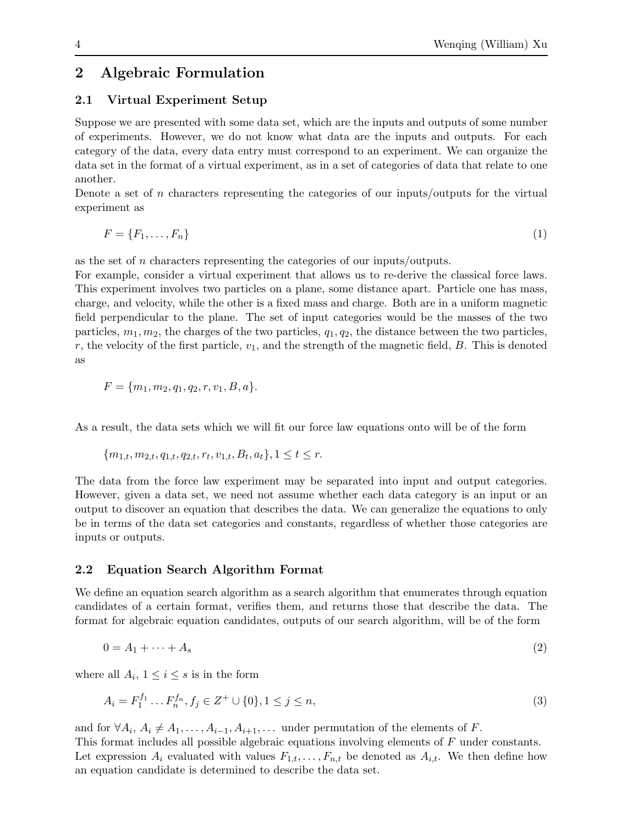# <span id="page-3-1"></span><span id="page-3-0"></span>2.1 Virtual Experiment Setup

Suppose we are presented with some data set, which are the inputs and outputs of some number of experiments. However, we do not know what data are the inputs and outputs. For each category of the data, every data entry must correspond to an experiment. We can organize the data set in the format of a virtual experiment, as in a set of categories of data that relate to one another.

Denote a set of  $n$  characters representing the categories of our inputs/outputs for the virtual experiment as

$$
F = \{F_1, \ldots, F_n\} \tag{1}
$$

as the set of n characters representing the categories of our inputs/outputs.

For example, consider a virtual experiment that allows us to re-derive the classical force laws. This experiment involves two particles on a plane, some distance apart. Particle one has mass, charge, and velocity, while the other is a fixed mass and charge. Both are in a uniform magnetic field perpendicular to the plane. The set of input categories would be the masses of the two particles,  $m_1, m_2$ , the charges of the two particles,  $q_1, q_2$ , the distance between the two particles, r, the velocity of the first particle,  $v_1$ , and the strength of the magnetic field,  $B$ . This is denoted as

$$
F = \{m_1, m_2, q_1, q_2, r, v_1, B, a\}.
$$

As a result, the data sets which we will fit our force law equations onto will be of the form

$$
\{m_{1,t}, m_{2,t}, q_{1,t}, q_{2,t}, r_t, v_{1,t}, B_t, a_t\}, 1 \le t \le r.
$$

The data from the force law experiment may be separated into input and output categories. However, given a data set, we need not assume whether each data category is an input or an output to discover an equation that describes the data. We can generalize the equations to only be in terms of the data set categories and constants, regardless of whether those categories are inputs or outputs.

# 2.2 Equation Search Algorithm Format

We define an equation search algorithm as a search algorithm that enumerates through equation candidates of a certain format, verifies them, and returns those that describe the data. The format for algebraic equation candidates, outputs of our search algorithm, will be of the form

$$
0 = A_1 + \dots + A_s \tag{2}
$$

where all  $A_i$ ,  $1 \leq i \leq s$  is in the form

$$
A_i = F_1^{f_1} \dots F_n^{f_n}, f_j \in Z^+ \cup \{0\}, 1 \le j \le n,
$$
\n<sup>(3)</sup>

and for  $\forall A_i, A_i \neq A_1, \ldots, A_{i-1}, A_{i+1}, \ldots$  under permutation of the elements of F.

This format includes all possible algebraic equations involving elements of F under constants. Let expression  $A_i$  evaluated with values  $F_{1,t}, \ldots, F_{n,t}$  be denoted as  $A_{i,t}$ . We then define how an equation candidate is determined to describe the data set.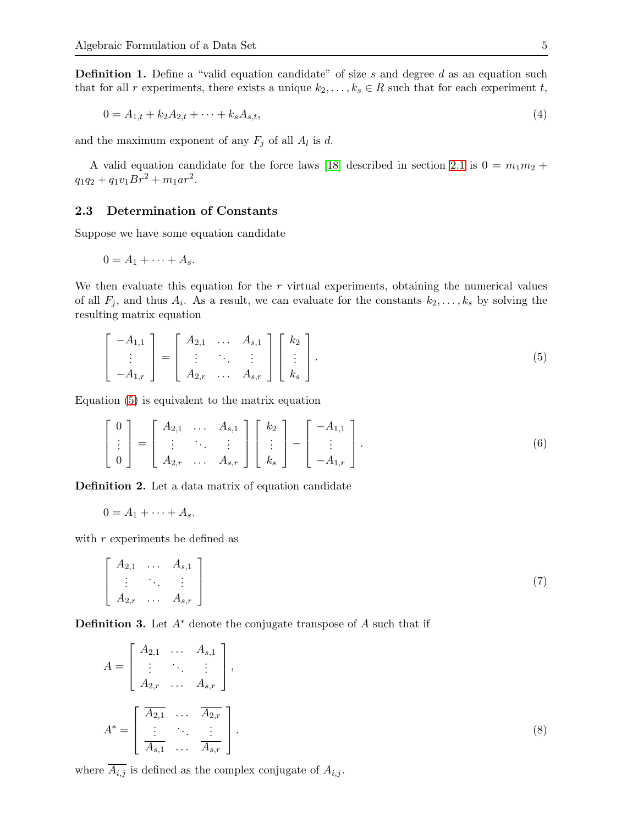<span id="page-4-1"></span>**Definition 1.** Define a "valid equation candidate" of size s and degree d as an equation such that for all r experiments, there exists a unique  $k_2, \ldots, k_s \in R$  such that for each experiment t,

$$
0 = A_{1,t} + k_2 A_{2,t} + \dots + k_s A_{s,t},
$$
\n<sup>(4)</sup>

and the maximum exponent of any  $F_j$  of all  $A_l$  is d.

A valid equation candidate for the force laws [\[18\]](#page-14-13) described in section [2](#page-3-1).1 is  $0 = m_1 m_2 +$  $q_1q_2 + q_1v_1Br^2 + m_1ar^2$ .

#### 2.3 Determination of Constants

Suppose we have some equation candidate

$$
0=A_1+\cdots+A_s.
$$

We then evaluate this equation for the  $r$  virtual experiments, obtaining the numerical values of all  $F_j$ , and thus  $A_i$ . As a result, we can evaluate for the constants  $k_2, \ldots, k_s$  by solving the resulting matrix equation

<span id="page-4-0"></span>
$$
\begin{bmatrix} -A_{1,1} \\ \vdots \\ -A_{1,r} \end{bmatrix} = \begin{bmatrix} A_{2,1} & \dots & A_{s,1} \\ \vdots & \ddots & \vdots \\ A_{2,r} & \dots & A_{s,r} \end{bmatrix} \begin{bmatrix} k_2 \\ \vdots \\ k_s \end{bmatrix} . \tag{5}
$$

Equation [\(5\)](#page-4-0) is equivalent to the matrix equation

$$
\begin{bmatrix} 0 \\ \vdots \\ 0 \end{bmatrix} = \begin{bmatrix} A_{2,1} & \dots & A_{s,1} \\ \vdots & \ddots & \vdots \\ A_{2,r} & \dots & A_{s,r} \end{bmatrix} \begin{bmatrix} k_2 \\ \vdots \\ k_s \end{bmatrix} - \begin{bmatrix} -A_{1,1} \\ \vdots \\ -A_{1,r} \end{bmatrix}.
$$
 (6)

Definition 2. Let a data matrix of equation candidate

 $0 = A_1 + \cdots + A_s$ .

with  $r$  experiments be defined as

$$
\begin{bmatrix}\nA_{2,1} & \dots & A_{s,1} \\
\vdots & \ddots & \vdots \\
A_{2,r} & \dots & A_{s,r}\n\end{bmatrix}
$$
\n(7)

**Definition 3.** Let  $A^*$  denote the conjugate transpose of A such that if

$$
A = \begin{bmatrix} A_{2,1} & \dots & A_{s,1} \\ \vdots & \ddots & \vdots \\ A_{2,r} & \dots & A_{s,r} \end{bmatrix},
$$
  

$$
A^* = \begin{bmatrix} \overline{A_{2,1}} & \dots & \overline{A_{2,r}} \\ \vdots & \ddots & \vdots \\ \overline{A_{s,1}} & \dots & \overline{A_{s,r}} \end{bmatrix}.
$$
 (8)

where  $\overline{A_{i,j}}$  is defined as the complex conjugate of  $A_{i,j}$ .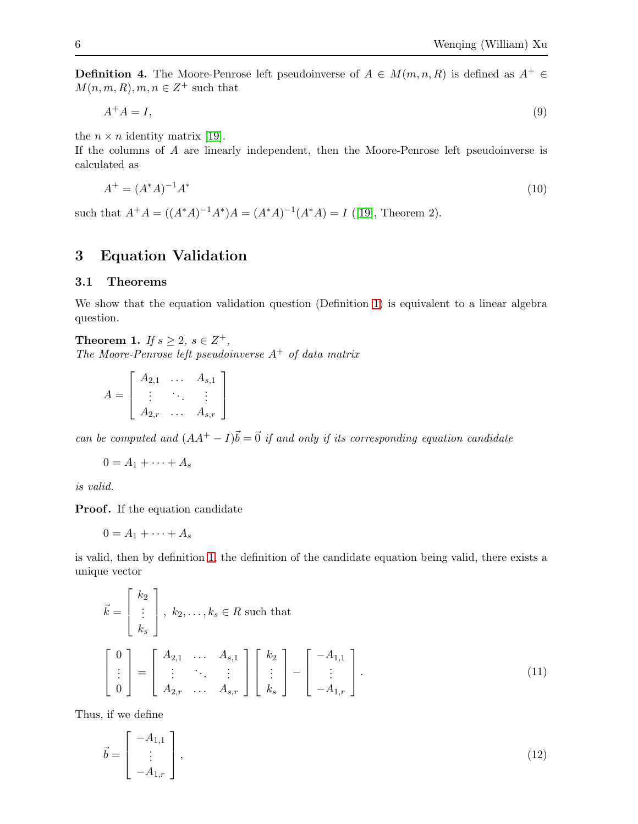<span id="page-5-1"></span>**Definition 4.** The Moore-Penrose left pseudoinverse of  $A \in M(m, n, R)$  is defined as  $A^+ \in$  $M(n, m, R), m, n \in \mathbb{Z}^+$  such that

<span id="page-5-3"></span>
$$
A^+A = I,\tag{9}
$$

the  $n \times n$  identity matrix [\[19\]](#page-14-14).

If the columns of A are linearly independent, then the Moore-Penrose left pseudoinverse is calculated as

<span id="page-5-2"></span>
$$
A^{+} = (A^{*}A)^{-1}A^{*} \tag{10}
$$

such that  $A^+A = ((A^*A)^{-1}A^*)A = (A^*A)^{-1}(A^*A) = I$  ([\[19\]](#page-14-14), Theorem 2).

# <span id="page-5-0"></span>3 Equation Validation

#### 3.1 Theorems

We show that the equation validation question (Definition [1\)](#page-4-1) is equivalent to a linear algebra question.

<span id="page-5-4"></span>**Theorem 1.** *If*  $s \geq 2$ ,  $s \in Z^+$ , *The Moore-Penrose left pseudoinverse* A<sup>+</sup> *of data matrix*

$$
A = \left[ \begin{array}{ccc} A_{2,1} & \dots & A_{s,1} \\ \vdots & \ddots & \vdots \\ A_{2,r} & \dots & A_{s,r} \end{array} \right]
$$

*can be computed and*  $(AA^+ - I)\vec{b} = \vec{0}$  *if and only if its corresponding equation candidate* 

$$
0=A_1+\cdots+A_s
$$

*is valid.*

**Proof.** If the equation candidate

$$
0=A_1+\cdots+A_s
$$

is valid, then by definition [1,](#page-4-1) the definition of the candidate equation being valid, there exists a unique vector

$$
\vec{k} = \begin{bmatrix} k_2 \\ \vdots \\ k_s \end{bmatrix}, k_2, \dots, k_s \in R \text{ such that}
$$
\n
$$
\begin{bmatrix} 0 \\ \vdots \\ 0 \end{bmatrix} = \begin{bmatrix} A_{2,1} & \cdots & A_{s,1} \\ \vdots & \ddots & \vdots \\ A_{2,r} & \cdots & A_{s,r} \end{bmatrix} \begin{bmatrix} k_2 \\ \vdots \\ k_s \end{bmatrix} - \begin{bmatrix} -A_{1,1} \\ \vdots \\ -A_{1,r} \end{bmatrix}.
$$
\n(11)

Thus, if we define

$$
\vec{b} = \begin{bmatrix} -A_{1,1} \\ \vdots \\ -A_{1,r} \end{bmatrix},\tag{12}
$$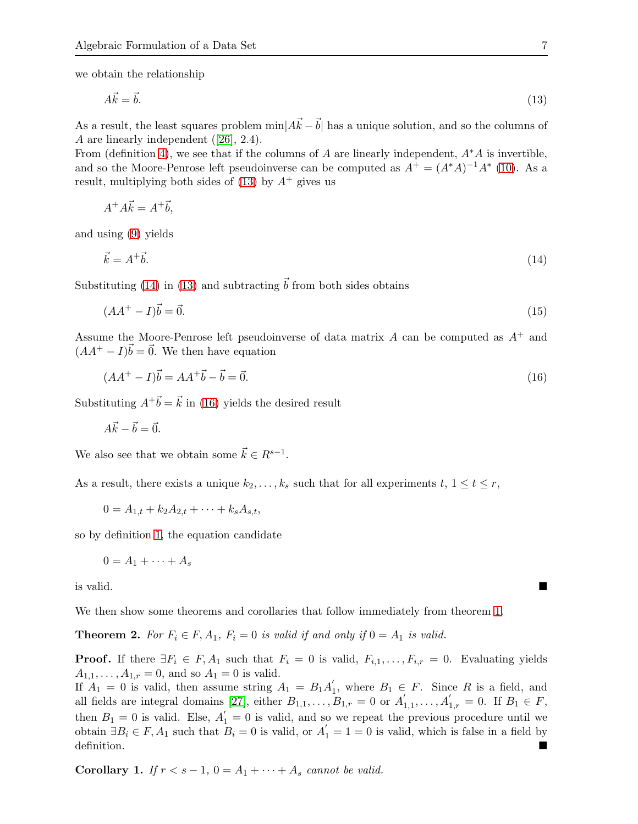we obtain the relationship

<span id="page-6-0"></span>
$$
A\vec{k} = \vec{b}.\tag{13}
$$

As a result, the least squares problem  $\min[A\vec{k} - \vec{b}]$  has a unique solution, and so the columns of A are linearly independent ([\[26\]](#page-15-0), 2.4).

From (definition [4\)](#page-5-1), we see that if the columns of A are linearly independent,  $A^*A$  is invertible, and so the Moore-Penrose left pseudoinverse can be computed as  $A^+ = (A^*A)^{-1}A^*$  [\(10\)](#page-5-2). As a result, multiplying both sides of  $(13)$  by  $A^+$  gives us

<span id="page-6-1"></span> $A^+A\vec{k} = A^+\vec{b}$ ,

and using [\(9\)](#page-5-3) yields

$$
\vec{k} = A^+ \vec{b}.\tag{14}
$$

Substituting [\(14\)](#page-6-1) in [\(13\)](#page-6-0) and subtracting  $\vec{b}$  from both sides obtains

$$
(AA^+ - I)\vec{b} = \vec{0}.\tag{15}
$$

Assume the Moore-Penrose left pseudoinverse of data matrix  $A$  can be computed as  $A^+$  and  $(AA^+ - I)\vec{b} = \vec{0}$ . We then have equation

<span id="page-6-2"></span>
$$
(AA^+ - I)\vec{b} = AA^+\vec{b} - \vec{b} = \vec{0}.\tag{16}
$$

Substituting  $A^{\dagger} \vec{b} = \vec{k}$  in [\(16\)](#page-6-2) yields the desired result

$$
A\vec{k} - \vec{b} = \vec{0}.
$$

We also see that we obtain some  $\vec{k} \in R^{s-1}$ .

As a result, there exists a unique  $k_2, \ldots, k_s$  such that for all experiments  $t, 1 \le t \le r$ ,

$$
0 = A_{1,t} + k_2 A_{2,t} + \cdots + k_s A_{s,t},
$$

so by definition [1,](#page-4-1) the equation candidate

$$
0=A_1+\cdots+A_s
$$

is valid.

We then show some theorems and corollaries that follow immediately from theorem [1.](#page-5-4)

**Theorem 2.** For  $F_i \in F$ ,  $A_1$ ,  $F_i = 0$  is valid if and only if  $0 = A_1$  is valid.

**Proof.** If there  $\exists F_i \in F, A_1$  such that  $F_i = 0$  is valid,  $F_{i,1}, \ldots, F_{i,r} = 0$ . Evaluating yields  $A_{1,1}, \ldots, A_{1,r} = 0$ , and so  $A_1 = 0$  is valid.

If  $A_1 = 0$  is valid, then assume string  $A_1 = B_1 A'_1$ <sup>1</sup><sub>1</sub>, where  $B_1 \text{ } \in F$ . Since R is a field, and all fields are integral domains [\[27\]](#page-15-1), either  $B_{1,1}, \ldots, B_{1,r} = 0$  or  $A'_{1,1}, \ldots, A'_{1,r} = 0$ . If  $B_1 \in F$ , then  $B_1 = 0$  is valid. Else,  $A'_1 = 0$  is valid, and so we repeat the previous procedure until we obtain  $\exists B_i \in F$ ,  $A_1$  such that  $B_i = 0$  is valid, or  $A'_1 = 1 = 0$  is valid, which is false in a field by definition.

<span id="page-6-3"></span>**Corollary 1.** *If*  $r < s - 1$ ,  $0 = A_1 + \cdots + A_s$  *cannot be valid.*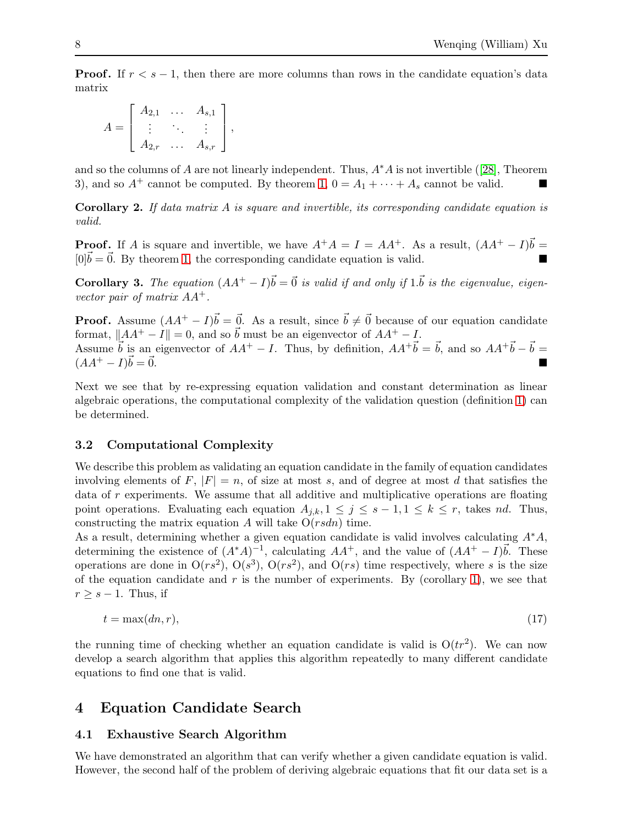**Proof.** If  $r < s - 1$ , then there are more columns than rows in the candidate equation's data matrix

$$
A = \begin{bmatrix} A_{2,1} & \cdots & A_{s,1} \\ \vdots & \ddots & \vdots \\ A_{2,r} & \cdots & A_{s,r} \end{bmatrix},
$$

and so the columns of A are not linearly independent. Thus,  $A^*A$  is not invertible ([\[28\]](#page-15-2), Theorem 3), and so  $A^+$  cannot be computed. By theorem [1,](#page-5-4)  $0 = A_1 + \cdots + A_s$  cannot be valid.

Corollary 2. *If data matrix* A *is square and invertible, its corresponding candidate equation is valid.*

**Proof.** If A is square and invertible, we have  $A^+A = I = AA^+$ . As a result,  $(AA^+ - I)\vec{b} = \vec{b}$  $[0]\vec{b} = \vec{0}$ . By theorem [1,](#page-5-4) the corresponding candidate equation is valid.

**Corollary 3.** The equation  $(AA^+ - I)\vec{b} = \vec{0}$  is valid if and only if  $1.\vec{b}$  is the eigenvalue, eigen*vector pair of matrix* AA+*.*

**Proof.** Assume  $(AA^+ - I)\vec{b} = \vec{0}$ . As a result, since  $\vec{b} \neq \vec{0}$  because of our equation candidate format,  $||AA^+ - I|| = 0$ , and so  $\vec{b}$  must be an eigenvector of  $AA^+ - I$ . Assume  $\vec{b}$  is an eigenvector of  $AA^+ - I$ . Thus, by definition,  $AA^+ \vec{b} = \vec{b}$ , and so  $AA^+ \vec{b} - \vec{b} =$  $(AA^+ - I)\vec{b} = \vec{0}$ .  $\vec{b} = \vec{0}.$ 

Next we see that by re-expressing equation validation and constant determination as linear algebraic operations, the computational complexity of the validation question (definition [1\)](#page-4-1) can be determined.

#### 3.2 Computational Complexity

We describe this problem as validating an equation candidate in the family of equation candidates involving elements of F,  $|F| = n$ , of size at most s, and of degree at most d that satisfies the data of  $r$  experiments. We assume that all additive and multiplicative operations are floating point operations. Evaluating each equation  $A_{i,k}$ ,  $1 \leq j \leq s-1, 1 \leq k \leq r$ , takes nd. Thus, constructing the matrix equation A will take  $O(rsdn)$  time.

As a result, determining whether a given equation candidate is valid involves calculating  $A^*A$ , determining the existence of  $(A^*A)^{-1}$ , calculating  $AA^+$ , and the value of  $(AA^+ - I)\vec{b}$ . These operations are done in  $O(rs^2)$ ,  $O(s^3)$ ,  $O(rs^2)$ , and  $O(rs)$  time respectively, where s is the size of the equation candidate and  $r$  is the number of experiments. By (corollary [1\)](#page-6-3), we see that  $r \geq s - 1$ . Thus, if

<span id="page-7-1"></span>
$$
t = \max(dn, r),\tag{17}
$$

the running time of checking whether an equation candidate is valid is  $O(tr^2)$ . We can now develop a search algorithm that applies this algorithm repeatedly to many different candidate equations to find one that is valid.

## <span id="page-7-0"></span>4 Equation Candidate Search

#### <span id="page-7-2"></span>4.1 Exhaustive Search Algorithm

We have demonstrated an algorithm that can verify whether a given candidate equation is valid. However, the second half of the problem of deriving algebraic equations that fit our data set is a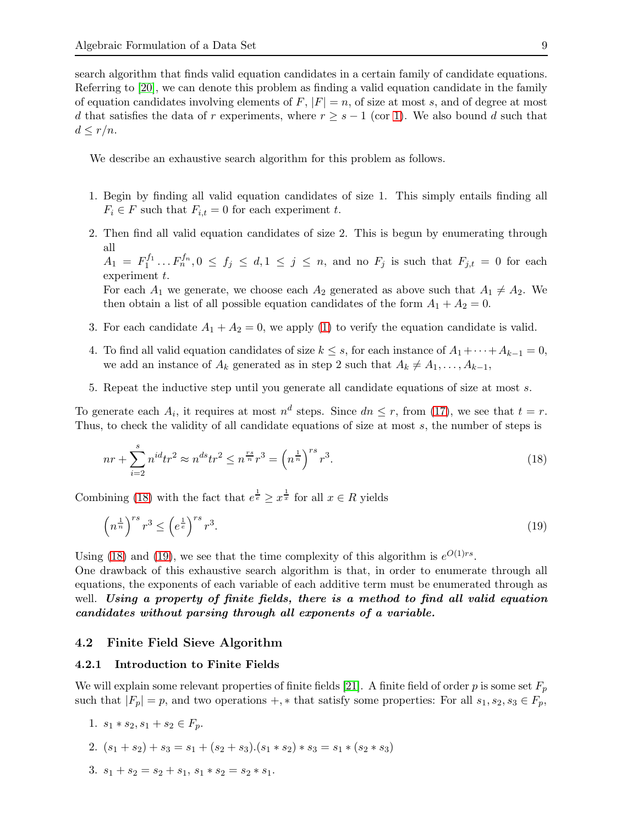search algorithm that finds valid equation candidates in a certain family of candidate equations. Referring to [\[20\]](#page-14-15), we can denote this problem as finding a valid equation candidate in the family of equation candidates involving elements of  $F$ ,  $|F| = n$ , of size at most s, and of degree at most d that satisfies the data of r experiments, where  $r \geq s - 1$  (cor [1\)](#page-6-3). We also bound d such that  $d \leq r/n$ .

We describe an exhaustive search algorithm for this problem as follows.

- 1. Begin by finding all valid equation candidates of size 1. This simply entails finding all  $F_i \in F$  such that  $F_{i,t} = 0$  for each experiment t.
- 2. Then find all valid equation candidates of size 2. This is begun by enumerating through all

 $A_1 = F_1^{f_1}$  $I_1^{f_1} \dots F_n^{f_n}, 0 \leq f_j \leq d, 1 \leq j \leq n$ , and no  $F_j$  is such that  $F_{j,t} = 0$  for each experiment t.

For each  $A_1$  we generate, we choose each  $A_2$  generated as above such that  $A_1 \neq A_2$ . We then obtain a list of all possible equation candidates of the form  $A_1 + A_2 = 0$ .

- 3. For each candidate  $A_1 + A_2 = 0$ , we apply [\(1\)](#page-5-4) to verify the equation candidate is valid.
- 4. To find all valid equation candidates of size  $k \leq s$ , for each instance of  $A_1 + \cdots + A_{k-1} = 0$ , we add an instance of  $A_k$  generated as in step 2 such that  $A_k \neq A_1, \ldots, A_{k-1}$ ,
- 5. Repeat the inductive step until you generate all candidate equations of size at most s.

To generate each  $A_i$ , it requires at most  $n^d$  steps. Since  $dn \leq r$ , from [\(17\)](#page-7-1), we see that  $t = r$ . Thus, to check the validity of all candidate equations of size at most s, the number of steps is

<span id="page-8-0"></span>
$$
nr + \sum_{i=2}^{s} n^{id} tr^2 \approx n^{ds} tr^2 \le n^{\frac{rs}{n}} r^3 = \left(n^{\frac{1}{n}}\right)^{rs} r^3.
$$
 (18)

Combining [\(18\)](#page-8-0) with the fact that  $e^{\frac{1}{e}} \geq x^{\frac{1}{x}}$  for all  $x \in R$  yields

<span id="page-8-1"></span>
$$
\left(n^{\frac{1}{n}}\right)^{rs}r^3 \le \left(e^{\frac{1}{e}}\right)^{rs}r^3. \tag{19}
$$

Using [\(18\)](#page-8-0) and [\(19\)](#page-8-1), we see that the time complexity of this algorithm is  $e^{O(1)rs}$ .

One drawback of this exhaustive search algorithm is that, in order to enumerate through all equations, the exponents of each variable of each additive term must be enumerated through as well. Using a property of finite fields, there is a method to find all valid equation candidates without parsing through all exponents of a variable.

#### 4.2 Finite Field Sieve Algorithm

#### 4.2.1 Introduction to Finite Fields

We will explain some relevant properties of finite fields [\[21\]](#page-14-16). A finite field of order p is some set  $F_p$ such that  $|F_p| = p$ , and two operations +,  $*$  that satisfy some properties: For all  $s_1, s_2, s_3 \in F_p$ ,

- 1.  $s_1 * s_2, s_1 + s_2 \in F_p$ .
- 2.  $(s_1 + s_2) + s_3 = s_1 + (s_2 + s_3) \cdot (s_1 * s_2) * s_3 = s_1 * (s_2 * s_3)$
- 3.  $s_1 + s_2 = s_2 + s_1$ ,  $s_1 * s_2 = s_2 * s_1$ .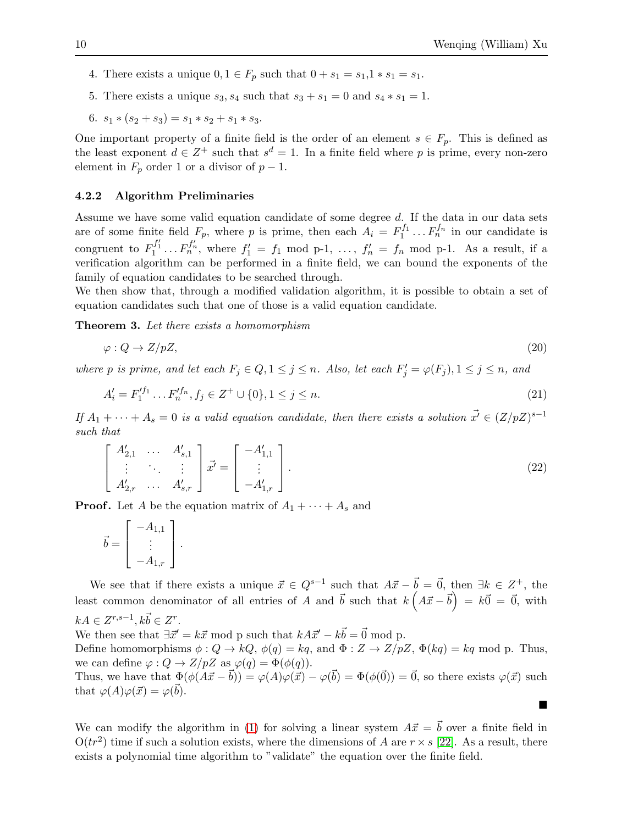$\blacksquare$ 

- 4. There exists a unique  $0, 1 \in F_p$  such that  $0 + s_1 = s_1, 1 * s_1 = s_1$ .
- 5. There exists a unique  $s_3$ ,  $s_4$  such that  $s_3 + s_1 = 0$  and  $s_4 * s_1 = 1$ .
- 6.  $s_1 * (s_2 + s_3) = s_1 * s_2 + s_1 * s_3$ .

One important property of a finite field is the order of an element  $s \in F_p$ . This is defined as the least exponent  $d \in \mathbb{Z}^+$  such that  $s^d = 1$ . In a finite field where p is prime, every non-zero element in  $F_p$  order 1 or a divisor of  $p-1$ .

#### 4.2.2 Algorithm Preliminaries

Assume we have some valid equation candidate of some degree d. If the data in our data sets are of some finite field  $F_p$ , where p is prime, then each  $A_i = F_1^{f_1}$  $F_1^{f_1} \dots F_n^{f_n}$  in our candidate is congruent to  $F_1^{f_1'} \dots F_n^{f_n'}$ , where  $f_1' = f_1 \mod p-1$ , ...,  $f_n' = f_n \mod p-1$ . As a result, if a verification algorithm can be performed in a finite field, we can bound the exponents of the family of equation candidates to be searched through.

We then show that, through a modified validation algorithm, it is possible to obtain a set of equation candidates such that one of those is a valid equation candidate.

Theorem 3. *Let there exists a homomorphism*

$$
\varphi: Q \to Z/pZ,\tag{20}
$$

*where p is prime, and let each*  $F_j \in Q, 1 \leq j \leq n$ . Also, let each  $F'_j = \varphi(F_j), 1 \leq j \leq n$ , and

$$
A'_{i} = F'^{f_{1}}_{1} \dots F'^{f_{n}}_{n}, f_{j} \in Z^{+} \cup \{0\}, 1 \leq j \leq n. \tag{21}
$$

*If*  $A_1 + \cdots + A_s = 0$  *is a valid equation candidate, then there exists a solution*  $\vec{x'} \in (Z/pZ)^{s-1}$ *such that*

$$
\begin{bmatrix} A'_{2,1} & \cdots & A'_{s,1} \\ \vdots & \ddots & \vdots \\ A'_{2,r} & \cdots & A'_{s,r} \end{bmatrix} \vec{x'} = \begin{bmatrix} -A'_{1,1} \\ \vdots \\ -A'_{1,r} \end{bmatrix}.
$$
 (22)

**Proof.** Let A be the equation matrix of  $A_1 + \cdots + A_s$  and

$$
\vec{b} = \begin{bmatrix} -A_{1,1} \\ \vdots \\ -A_{1,r} \end{bmatrix}.
$$

We see that if there exists a unique  $\vec{x} \in Q^{s-1}$  such that  $A\vec{x} - \vec{b} = \vec{0}$ , then  $\exists k \in Z^+$ , the least common denominator of all entries of A and  $\vec{b}$  such that  $k\left(A\vec{x}-\vec{b}\right) = k\vec{0} = \vec{0}$ , with  $kA \in Z^{r,s-1}, k\vec{b} \in Z^r.$ 

We then see that  $\exists \vec{x}' = k\vec{x} \mod p$  such that  $kA\vec{x}' - k\vec{b} = \vec{0} \mod p$ .

Define homomorphisms  $\phi: Q \to kQ$ ,  $\phi(q) = kq$ , and  $\Phi: Z \to Z/pZ$ ,  $\Phi(kq) = kq$  mod p. Thus, we can define  $\varphi: Q \to Z/pZ$  as  $\varphi(q) = \Phi(\phi(q)).$ 

Thus, we have that  $\Phi(\phi(A\vec{x}-\vec{b})) = \varphi(A)\varphi(\vec{x}) - \varphi(\vec{b}) = \Phi(\phi(\vec{0})) = \vec{0}$ , so there exists  $\varphi(\vec{x})$  such that  $\varphi(A)\varphi(\vec{x}) = \varphi(\vec{b}).$ 

We can modify the algorithm in [\(1\)](#page-5-4) for solving a linear system  $A\vec{x} = \vec{b}$  over a finite field in  $O(tr^2)$  time if such a solution exists, where the dimensions of A are  $r \times s$  [\[22\]](#page-15-3). As a result, there exists a polynomial time algorithm to "validate" the equation over the finite field.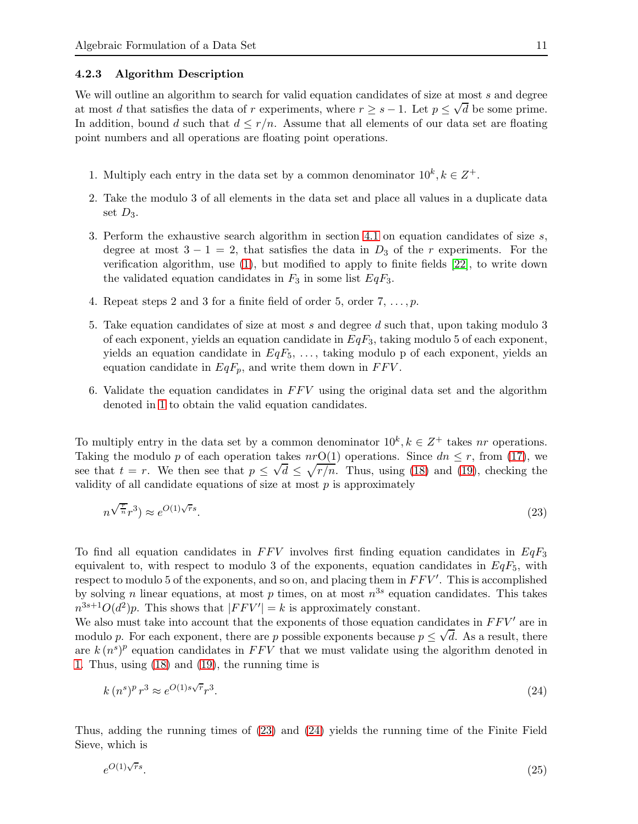#### 4.2.3 Algorithm Description

We will outline an algorithm to search for valid equation candidates of size at most s and degree at most d that satisfies the data of r experiments, where  $r \geq s - 1$ . Let  $p \leq \sqrt{d}$  be some prime. In addition, bound d such that  $d \leq r/n$ . Assume that all elements of our data set are floating point numbers and all operations are floating point operations.

- 1. Multiply each entry in the data set by a common denominator  $10^k, k \in \mathbb{Z}^+$ .
- 2. Take the modulo 3 of all elements in the data set and place all values in a duplicate data set  $D_3$ .
- 3. Perform the exhaustive search algorithm in section 4.[1](#page-7-2) on equation candidates of size  $s$ , degree at most  $3 - 1 = 2$ , that satisfies the data in  $D_3$  of the r experiments. For the verification algorithm, use [\(1\)](#page-5-4), but modified to apply to finite fields [\[22\]](#page-15-3), to write down the validated equation candidates in  $F_3$  in some list  $EqF_3$ .
- 4. Repeat steps 2 and 3 for a finite field of order 5, order  $7, \ldots, p$ .
- 5. Take equation candidates of size at most s and degree d such that, upon taking modulo 3 of each exponent, yields an equation candidate in  $EqF_3$ , taking modulo 5 of each exponent, yields an equation candidate in  $EqF_5, \ldots$ , taking modulo p of each exponent, yields an equation candidate in  $EqF_p$ , and write them down in  $FFV$ .
- 6. Validate the equation candidates in  $FFV$  using the original data set and the algorithm denoted in [1](#page-5-4) to obtain the valid equation candidates.

To multiply entry in the data set by a common denominator  $10^k, k \in \mathbb{Z}^+$  takes nr operations. Taking the modulo p of each operation takes  $nrO(1)$  operations. Since  $dn \leq r$ , from [\(17\)](#page-7-1), we see that  $t = r$ . We then see that  $p \le \sqrt{d} \le \sqrt{r/n}$ . Thus, using [\(18\)](#page-8-0) and [\(19\)](#page-8-1), checking the validity of all candidate equations of size at most  $p$  is approximately

<span id="page-10-0"></span>
$$
n^{\sqrt{\frac{r}{n}}r^3}) \approx e^{O(1)\sqrt{rs}}.\tag{23}
$$

To find all equation candidates in  $FFV$  involves first finding equation candidates in  $EqF_3$ equivalent to, with respect to modulo 3 of the exponents, equation candidates in  $EqF_5$ , with respect to modulo 5 of the exponents, and so on, and placing them in  $FFV'$ . This is accomplished by solving n linear equations, at most p times, on at most  $n^{3s}$  equation candidates. This takes  $n^{3s+1}O(d^2)p$ . This shows that  $|FFV'|=k$  is approximately constant.

We also must take into account that the exponents of those equation candidates in  $FFV'$  are in modulo p. For each exponent, there are p possible exponents because  $p \leq \sqrt{d}$ . As a result, there are  $k(n^s)^p$  equation candidates in FFV that we must validate using the algorithm denoted in [1.](#page-5-4) Thus, using [\(18\)](#page-8-0) and [\(19\)](#page-8-1), the running time is

<span id="page-10-1"></span>
$$
k\left(n^s\right)^p r^3 \approx e^{O(1)s\sqrt{r}} r^3. \tag{24}
$$

Thus, adding the running times of [\(23\)](#page-10-0) and [\(24\)](#page-10-1) yields the running time of the Finite Field Sieve, which is

$$
e^{O(1)\sqrt{rs}}.\tag{25}
$$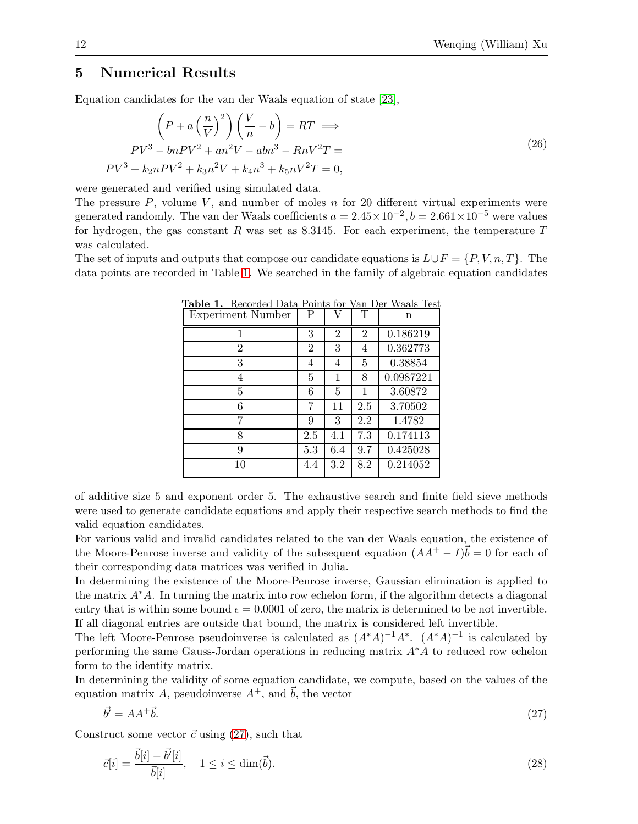## <span id="page-11-0"></span>5 Numerical Results

Equation candidates for the van der Waals equation of state [\[23\]](#page-15-4),

$$
\left(P + a\left(\frac{n}{V}\right)^2\right)\left(\frac{V}{n} - b\right) = RT \implies
$$
\n
$$
PV^3 - bnV^2 + an^2V - abn^3 - RnV^2T =
$$
\n
$$
PV^3 + k_2nPV^2 + k_3n^2V + k_4n^3 + k_5nV^2T = 0,
$$
\n(26)

were generated and verified using simulated data.

The pressure  $P$ , volume  $V$ , and number of moles  $n$  for 20 different virtual experiments were generated randomly. The van der Waals coefficients  $a = 2.45 \times 10^{-2}$ ,  $b = 2.661 \times 10^{-5}$  were values for hydrogen, the gas constant R was set as 8.3145. For each experiment, the temperature  $T$ was calculated.

The set of inputs and outputs that compose our candidate equations is  $L \cup F = \{P, V, n, T\}$ . The data points are recorded in Table [1.](#page-11-1) We searched in the family of algebraic equation candidates

<span id="page-11-1"></span>

| <b>Experiment Number</b> | Ρ              | V              | Τ              | n         |
|--------------------------|----------------|----------------|----------------|-----------|
| 1                        | 3              | $\overline{2}$ | $\overline{2}$ | 0.186219  |
| $\overline{2}$           | $\overline{2}$ | 3              | 4              | 0.362773  |
| 3                        | 4              | 4              | 5              | 0.38854   |
| 4                        | 5              | 1              | 8              | 0.0987221 |
| 5                        | 6              | 5              | 1              | 3.60872   |
| 6                        | 7              | 11             | 2.5            | 3.70502   |
| 7                        | 9              | 3              | 2.2            | 1.4782    |
| 8                        | 2.5            | 4.1            | 7.3            | 0.174113  |
| 9                        | 5.3            | 6.4            | 9.7            | 0.425028  |
| 10                       | 4.4            | 3.2            | 8.2            | 0.214052  |

Table 1. Recorded Data Points for Van Der Waals Test

of additive size 5 and exponent order 5. The exhaustive search and finite field sieve methods were used to generate candidate equations and apply their respective search methods to find the valid equation candidates.

For various valid and invalid candidates related to the van der Waals equation, the existence of the Moore-Penrose inverse and validity of the subsequent equation  $(AA^+ - I)\vec{b} = 0$  for each of their corresponding data matrices was verified in Julia.

In determining the existence of the Moore-Penrose inverse, Gaussian elimination is applied to the matrix  $A^*A$ . In turning the matrix into row echelon form, if the algorithm detects a diagonal entry that is within some bound  $\epsilon = 0.0001$  of zero, the matrix is determined to be not invertible. If all diagonal entries are outside that bound, the matrix is considered left invertible.

The left Moore-Penrose pseudoinverse is calculated as  $(A^*A)^{-1}A^*$ .  $(A^*A)^{-1}$  is calculated by performing the same Gauss-Jordan operations in reducing matrix A∗A to reduced row echelon form to the identity matrix.

In determining the validity of some equation candidate, we compute, based on the values of the equation matrix A, pseudoinverse  $A^+$ , and  $\vec{b}$ , the vector

<span id="page-11-2"></span>
$$
\vec{b'} = AA^+\vec{b}.\tag{27}
$$

Construct some vector  $\vec{c}$  using [\(27\)](#page-11-2), such that

<span id="page-11-3"></span>
$$
\vec{c}[i] = \frac{\vec{b}[i] - \vec{b'}[i]}{\vec{b}[i]}, \quad 1 \le i \le \dim(\vec{b}).\tag{28}
$$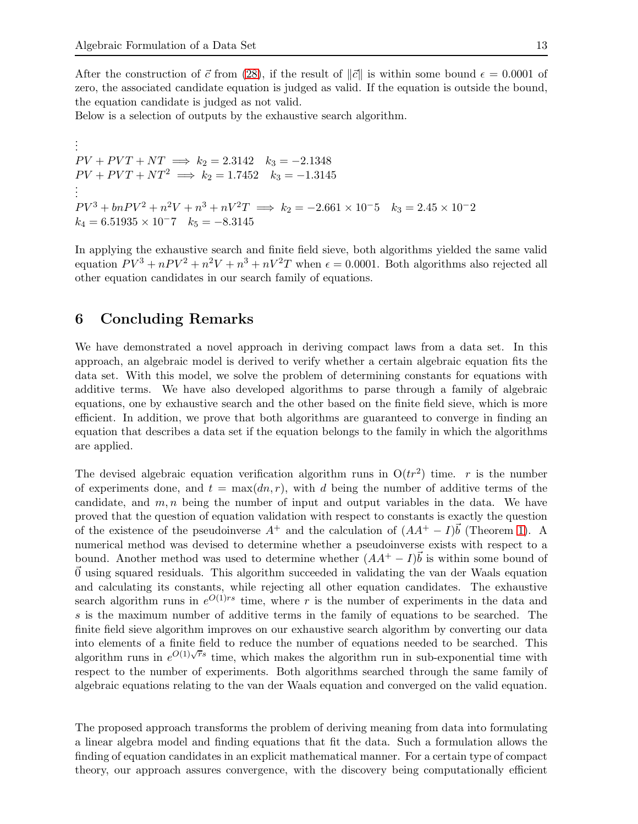After the construction of  $\vec{c}$  from [\(28\)](#page-11-3), if the result of  $\|\vec{c}\|$  is within some bound  $\epsilon = 0.0001$  of zero, the associated candidate equation is judged as valid. If the equation is outside the bound, the equation candidate is judged as not valid.

Below is a selection of outputs by the exhaustive search algorithm.

. . .  $PV + PVT + NT \implies k_2 = 2.3142 \quad k_3 = -2.1348$  $PV + PVT + NT^2 \implies k_2 = 1.7452 \quad k_3 = -1.3145$ . . .  $PV^3 + bnPV^2 + n^2V + n^3 + nV^2T \implies k_2 = -2.661 \times 10^{-5}$   $k_3 = 2.45 \times 10^{-2}$  $k_4 = 6.51935 \times 10^{-7}$   $k_5 = -8.3145$ 

In applying the exhaustive search and finite field sieve, both algorithms yielded the same valid equation  $PV^3 + nPV^2 + n^2V + n^3 + nV^2T$  when  $\epsilon = 0.0001$ . Both algorithms also rejected all other equation candidates in our search family of equations.

# <span id="page-12-0"></span>6 Concluding Remarks

We have demonstrated a novel approach in deriving compact laws from a data set. In this approach, an algebraic model is derived to verify whether a certain algebraic equation fits the data set. With this model, we solve the problem of determining constants for equations with additive terms. We have also developed algorithms to parse through a family of algebraic equations, one by exhaustive search and the other based on the finite field sieve, which is more efficient. In addition, we prove that both algorithms are guaranteed to converge in finding an equation that describes a data set if the equation belongs to the family in which the algorithms are applied.

The devised algebraic equation verification algorithm runs in  $O(tr^2)$  time. r is the number of experiments done, and  $t = \max(dn, r)$ , with d being the number of additive terms of the candidate, and  $m, n$  being the number of input and output variables in the data. We have proved that the question of equation validation with respect to constants is exactly the question of the existence of the pseudoinverse  $A^+$  and the calculation of  $(AA^+ - I)\vec{b}$  (Theorem [1\)](#page-5-4). A numerical method was devised to determine whether a pseudoinverse exists with respect to a bound. Another method was used to determine whether  $(AA^+ - I)\vec{b}$  is within some bound of  $\alpha$  using squared residuals. This algorithm succeeded in validating the van der Waals equation and calculating its constants, while rejecting all other equation candidates. The exhaustive search algorithm runs in  $e^{O(1)rs}$  time, where r is the number of experiments in the data and s is the maximum number of additive terms in the family of equations to be searched. The finite field sieve algorithm improves on our exhaustive search algorithm by converting our data into elements of a finite field to reduce the number of equations needed to be searched. This algorithm runs in  $e^{O(1)\sqrt{rs}}$  time, which makes the algorithm run in sub-exponential time with respect to the number of experiments. Both algorithms searched through the same family of algebraic equations relating to the van der Waals equation and converged on the valid equation.

The proposed approach transforms the problem of deriving meaning from data into formulating a linear algebra model and finding equations that fit the data. Such a formulation allows the finding of equation candidates in an explicit mathematical manner. For a certain type of compact theory, our approach assures convergence, with the discovery being computationally efficient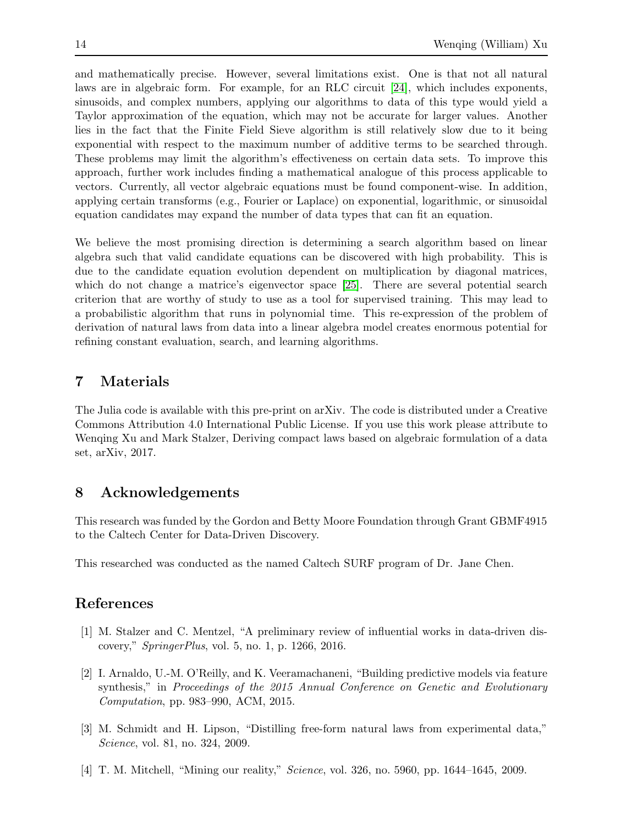and mathematically precise. However, several limitations exist. One is that not all natural laws are in algebraic form. For example, for an RLC circuit [\[24\]](#page-15-5), which includes exponents, sinusoids, and complex numbers, applying our algorithms to data of this type would yield a Taylor approximation of the equation, which may not be accurate for larger values. Another lies in the fact that the Finite Field Sieve algorithm is still relatively slow due to it being exponential with respect to the maximum number of additive terms to be searched through. These problems may limit the algorithm's effectiveness on certain data sets. To improve this approach, further work includes finding a mathematical analogue of this process applicable to vectors. Currently, all vector algebraic equations must be found component-wise. In addition, applying certain transforms (e.g., Fourier or Laplace) on exponential, logarithmic, or sinusoidal equation candidates may expand the number of data types that can fit an equation.

We believe the most promising direction is determining a search algorithm based on linear algebra such that valid candidate equations can be discovered with high probability. This is due to the candidate equation evolution dependent on multiplication by diagonal matrices, which do not change a matrice's eigenvector space [\[25\]](#page-15-6). There are several potential search criterion that are worthy of study to use as a tool for supervised training. This may lead to a probabilistic algorithm that runs in polynomial time. This re-expression of the problem of derivation of natural laws from data into a linear algebra model creates enormous potential for refining constant evaluation, search, and learning algorithms.

# 7 Materials

The Julia code is available with this pre-print on arXiv. The code is distributed under a Creative Commons Attribution 4.0 International Public License. If you use this work please attribute to Wenqing Xu and Mark Stalzer, Deriving compact laws based on algebraic formulation of a data set, arXiv, 2017.

# 8 Acknowledgements

This research was funded by the Gordon and Betty Moore Foundation through Grant GBMF4915 to the Caltech Center for Data-Driven Discovery.

This researched was conducted as the named Caltech SURF program of Dr. Jane Chen.

# <span id="page-13-0"></span>References

- <span id="page-13-1"></span>[1] M. Stalzer and C. Mentzel, "A preliminary review of influential works in data-driven discovery," *SpringerPlus*, vol. 5, no. 1, p. 1266, 2016.
- [2] I. Arnaldo, U.-M. O'Reilly, and K. Veeramachaneni, "Building predictive models via feature synthesis," in *Proceedings of the 2015 Annual Conference on Genetic and Evolutionary Computation*, pp. 983–990, ACM, 2015.
- <span id="page-13-2"></span>[3] M. Schmidt and H. Lipson, "Distilling free-form natural laws from experimental data," *Science*, vol. 81, no. 324, 2009.
- <span id="page-13-3"></span>[4] T. M. Mitchell, "Mining our reality," *Science*, vol. 326, no. 5960, pp. 1644–1645, 2009.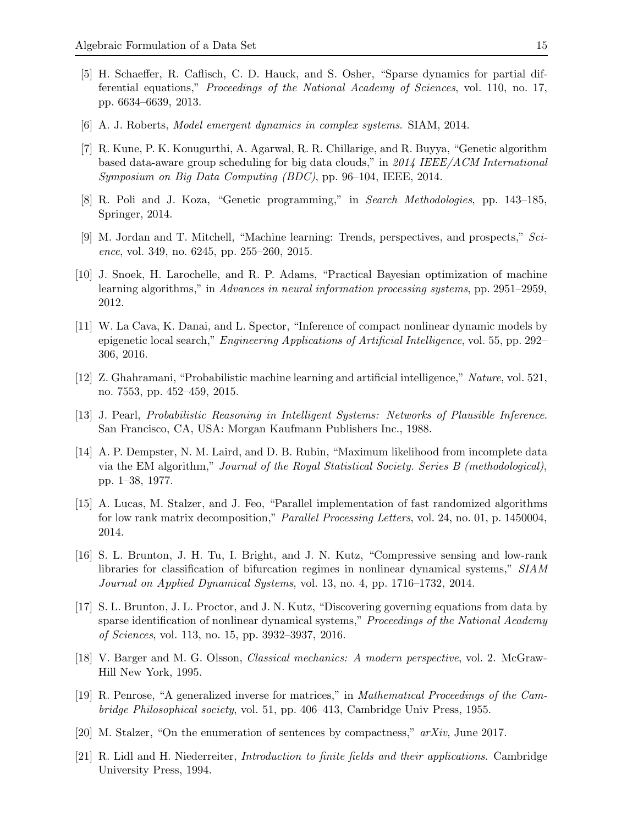- <span id="page-14-0"></span>[5] H. Schaeffer, R. Caflisch, C. D. Hauck, and S. Osher, "Sparse dynamics for partial differential equations," *Proceedings of the National Academy of Sciences*, vol. 110, no. 17, pp. 6634–6639, 2013.
- <span id="page-14-2"></span><span id="page-14-1"></span>[6] A. J. Roberts, *Model emergent dynamics in complex systems*. SIAM, 2014.
- [7] R. Kune, P. K. Konugurthi, A. Agarwal, R. R. Chillarige, and R. Buyya, "Genetic algorithm based data-aware group scheduling for big data clouds," in *2014 IEEE/ACM International Symposium on Big Data Computing (BDC)*, pp. 96–104, IEEE, 2014.
- <span id="page-14-4"></span><span id="page-14-3"></span>[8] R. Poli and J. Koza, "Genetic programming," in *Search Methodologies*, pp. 143–185, Springer, 2014.
- <span id="page-14-5"></span>[9] M. Jordan and T. Mitchell, "Machine learning: Trends, perspectives, and prospects," *Science*, vol. 349, no. 6245, pp. 255–260, 2015.
- [10] J. Snoek, H. Larochelle, and R. P. Adams, "Practical Bayesian optimization of machine learning algorithms," in *Advances in neural information processing systems*, pp. 2951–2959, 2012.
- <span id="page-14-6"></span>[11] W. La Cava, K. Danai, and L. Spector, "Inference of compact nonlinear dynamic models by epigenetic local search," *Engineering Applications of Artificial Intelligence*, vol. 55, pp. 292– 306, 2016.
- <span id="page-14-8"></span><span id="page-14-7"></span>[12] Z. Ghahramani, "Probabilistic machine learning and artificial intelligence," *Nature*, vol. 521, no. 7553, pp. 452–459, 2015.
- <span id="page-14-9"></span>[13] J. Pearl, *Probabilistic Reasoning in Intelligent Systems: Networks of Plausible Inference*. San Francisco, CA, USA: Morgan Kaufmann Publishers Inc., 1988.
- [14] A. P. Dempster, N. M. Laird, and D. B. Rubin, "Maximum likelihood from incomplete data via the EM algorithm," *Journal of the Royal Statistical Society. Series B (methodological)*, pp. 1–38, 1977.
- <span id="page-14-10"></span>[15] A. Lucas, M. Stalzer, and J. Feo, "Parallel implementation of fast randomized algorithms for low rank matrix decomposition," *Parallel Processing Letters*, vol. 24, no. 01, p. 1450004, 2014.
- <span id="page-14-11"></span>[16] S. L. Brunton, J. H. Tu, I. Bright, and J. N. Kutz, "Compressive sensing and low-rank libraries for classification of bifurcation regimes in nonlinear dynamical systems," *SIAM Journal on Applied Dynamical Systems*, vol. 13, no. 4, pp. 1716–1732, 2014.
- <span id="page-14-12"></span>[17] S. L. Brunton, J. L. Proctor, and J. N. Kutz, "Discovering governing equations from data by sparse identification of nonlinear dynamical systems," *Proceedings of the National Academy of Sciences*, vol. 113, no. 15, pp. 3932–3937, 2016.
- <span id="page-14-13"></span>[18] V. Barger and M. G. Olsson, *Classical mechanics: A modern perspective*, vol. 2. McGraw-Hill New York, 1995.
- <span id="page-14-14"></span>[19] R. Penrose, "A generalized inverse for matrices," in *Mathematical Proceedings of the Cambridge Philosophical society*, vol. 51, pp. 406–413, Cambridge Univ Press, 1955.
- <span id="page-14-16"></span><span id="page-14-15"></span>[20] M. Stalzer, "On the enumeration of sentences by compactness," *arXiv*, June 2017.
- [21] R. Lidl and H. Niederreiter, *Introduction to finite fields and their applications*. Cambridge University Press, 1994.